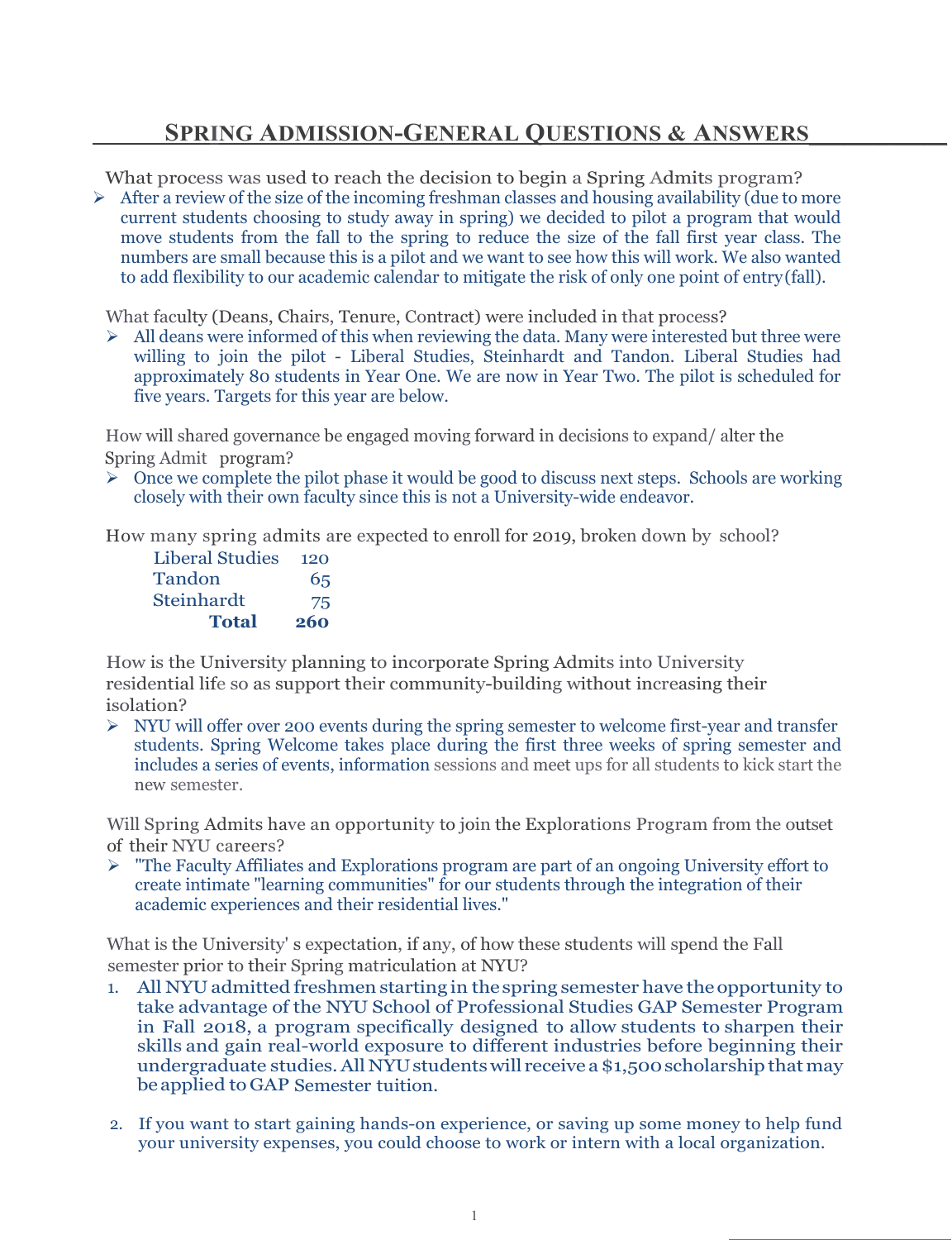## **SPRING ADMISSION-GENERAL QUESTIONS & ANSWERS**\_\_\_\_\_\_\_\_\_\_\_\_

What process was used to reach the decision to begin a Spring Admits program?

 $\triangleright$  After a review of the size of the incoming freshman classes and housing availability (due to more current students choosing to study away in spring) we decided to pilot a program that would move students from the fall to the spring to reduce the size of the fall first year class. The numbers are small because this is a pilot and we want to see how this will work. We also wanted to add flexibility to our academic calendar to mitigate the risk of only one point of entry(fall).

What faculty (Deans, Chairs, Tenure, Contract) were included in that process?

 $\triangleright$  All deans were informed of this when reviewing the data. Many were interested but three were willing to join the pilot - Liberal Studies, Steinhardt and Tandon. Liberal Studies had approximately 80 students in Year One. We are now in Year Two. The pilot is scheduled for five years. Targets for this year are below.

How will shared governance be engaged moving forward in decisions to expand/ alter the Spring Admit program?

 $\triangleright$  Once we complete the pilot phase it would be good to discuss next steps. Schools are working closely with their own faculty since this is not a University-wide endeavor.

How many spring admits are expected to enroll for 2019, broken down by school?

| <b>Total</b>    | 260 |
|-----------------|-----|
| Steinhardt      | 75  |
| Tandon          | 65  |
| Liberal Studies | 120 |

How is the University planning to incorporate Spring Admits into University residential life so as support their community-building without increasing their isolation?

 $\triangleright$  NYU will offer over 200 events during the spring semester to welcome first-year and transfer students. Spring Welcome takes place during the first three weeks of spring semester and includes a series of events, information sessions and meet ups for all students to kick start the new semester.

Will Spring Admits have an opportunity to join the Explorations Program from the outset of their NYU careers?

 $\triangleright$  "The Faculty Affiliates and Explorations program are part of an ongoing University effort to create intimate "learning communities" for our students through the integration of their academic experiences and their residential lives."

What is the University' s expectation, if any, of how these students will spend the Fall semester prior to their Spring matriculation at NYU?

- 1. All NYU admitted freshmen starting in the spring semester have the opportunity to take advantage of the NYU School of Professional Studies GAP Semester Program in Fall 2018, a program specifically designed to allow students to sharpen their skills and gain real-world exposure to different industries before beginning their undergraduate studies. All NYU students will receive a \$1,500 scholarship that may beapplied to GAP Semester tuition.
- 2. If you want to start gaining hands-on experience, or saving up some money to help fund your university expenses, you could choose to work or intern with a local organization.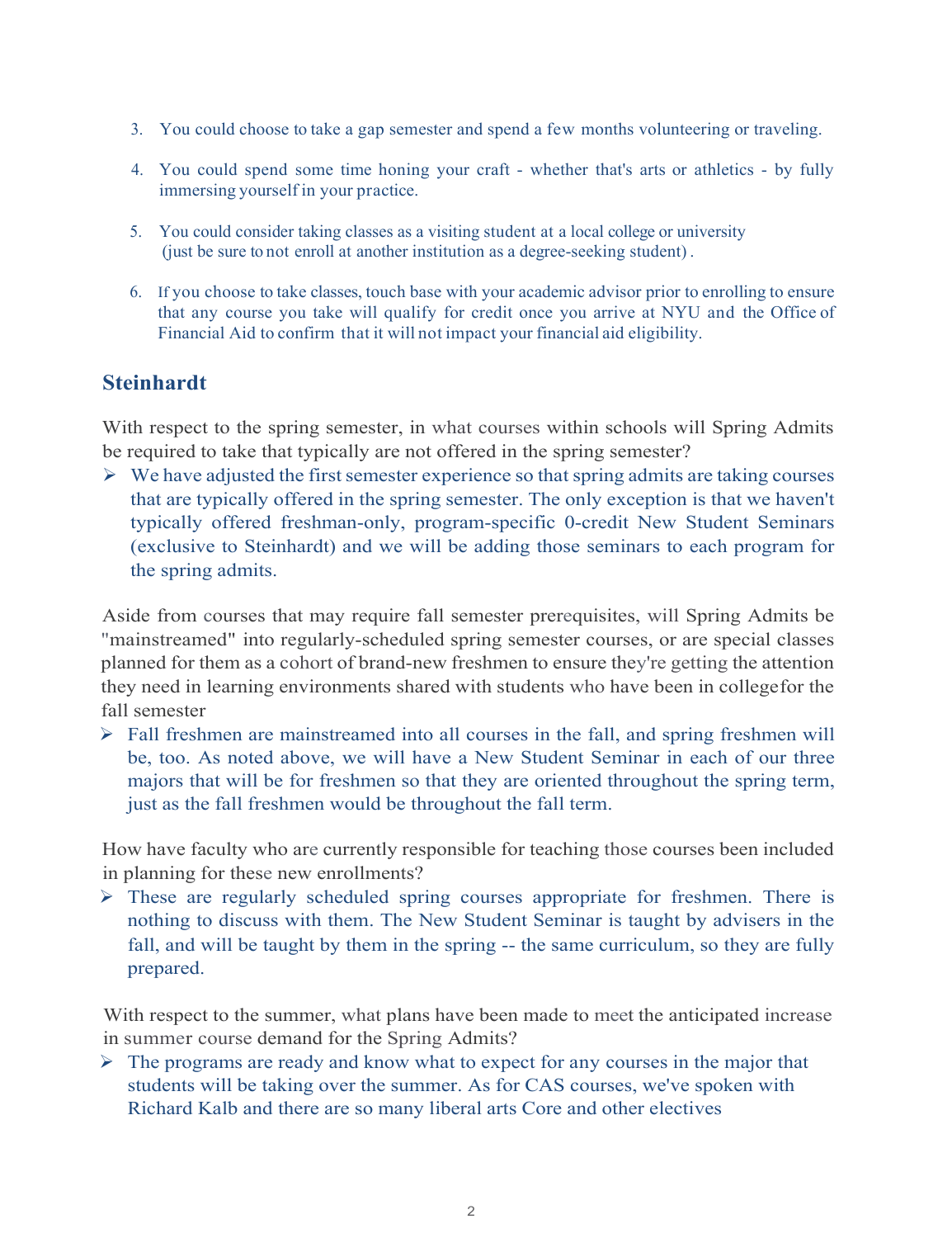- 3. You could choose to take a gap semester and spend a few months volunteering or traveling.
- 4. You could spend some time honing your craft whether that's arts or athletics by fully immersing yourself in your practice.
- 5. You could consider taking classes as a visiting student at a local college or university (just be sure to not enroll at another institution as a degree-seeking student) .
- 6. If you choose to take classes, touch base with your academic advisor prior to enrolling to ensure that any course you take will qualify for credit once you arrive at NYU and the Office of Financial Aid to confirm that it will not impact your financial aid eligibility.

## **Steinhardt**

With respect to the spring semester, in what courses within schools will Spring Admits be required to take that typically are not offered in the spring semester?

 $\triangleright$  We have adjusted the first semester experience so that spring admits are taking courses that are typically offered in the spring semester. The only exception is that we haven't typically offered freshman-only, program-specific 0-credit New Student Seminars (exclusive to Steinhardt) and we will be adding those seminars to each program for the spring admits.

Aside from courses that may require fall semester prerequisites, will Spring Admits be "mainstreamed" into regularly-scheduled spring semester courses, or are special classes planned for them as a cohort of brand-new freshmen to ensure they're getting the attention they need in learning environments shared with students who have been in collegefor the fall semester

 Fall freshmen are mainstreamed into all courses in the fall, and spring freshmen will be, too. As noted above, we will have a New Student Seminar in each of our three majors that will be for freshmen so that they are oriented throughout the spring term, just as the fall freshmen would be throughout the fall term.

How have faculty who are currently responsible for teaching those courses been included in planning for these new enrollments?

 $\triangleright$  These are regularly scheduled spring courses appropriate for freshmen. There is nothing to discuss with them. The New Student Seminar is taught by advisers in the fall, and will be taught by them in the spring -- the same curriculum, so they are fully prepared.

With respect to the summer, what plans have been made to meet the anticipated increase in summer course demand for the Spring Admits?

 $\triangleright$  The programs are ready and know what to expect for any courses in the major that students will be taking over the summer. As for CAS courses, we've spoken with Richard Kalb and there are so many liberal arts Core and other electives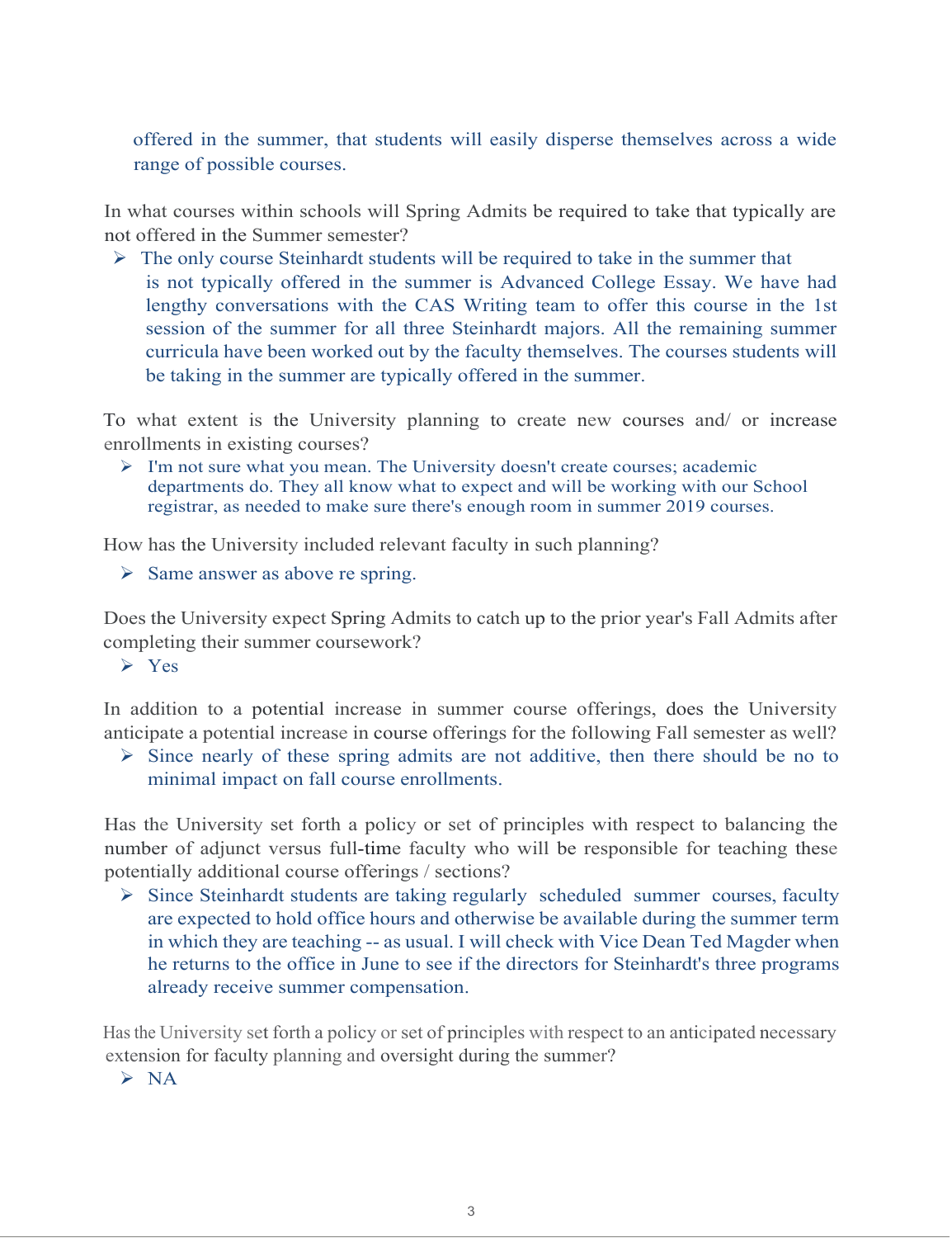offered in the summer, that students will easily disperse themselves across a wide range of possible courses.

In what courses within schools will Spring Admits be required to take that typically are not offered in the Summer semester?

 $\triangleright$  The only course Steinhardt students will be required to take in the summer that is not typically offered in the summer is Advanced College Essay. We have had lengthy conversations with the CAS Writing team to offer this course in the 1st session of the summer for all three Steinhardt majors. All the remaining summer curricula have been worked out by the faculty themselves. The courses students will be taking in the summer are typically offered in the summer.

To what extent is the University planning to create new courses and/ or increase enrollments in existing courses?

 $\triangleright$  I'm not sure what you mean. The University doesn't create courses; academic departments do. They all know what to expect and will be working with our School registrar, as needed to make sure there's enough room in summer 2019 courses.

How has the University included relevant faculty in such planning?

 $\triangleright$  Same answer as above re spring.

Does the University expect Spring Admits to catch up to the prior year's Fall Admits after completing their summer coursework?

 $\triangleright$  Yes

In addition to a potential increase in summer course offerings, does the University anticipate a potential increase in course offerings for the following Fall semester as well?

 $\triangleright$  Since nearly of these spring admits are not additive, then there should be no to minimal impact on fall course enrollments.

Has the University set forth a policy or set of principles with respect to balancing the number of adjunct versus full-time faculty who will be responsible for teaching these potentially additional course offerings / sections?

 Since Steinhardt students are taking regularly scheduled summer courses, faculty are expected to hold office hours and otherwise be available during the summer term in which they are teaching -- as usual. I will check with Vice Dean Ted Magder when he returns to the office in June to see if the directors for Steinhardt's three programs already receive summer compensation.

Has the University set forth a policy or set of principles with respect to an anticipated necessary extension for faculty planning and oversight during the summer?

 $> NA$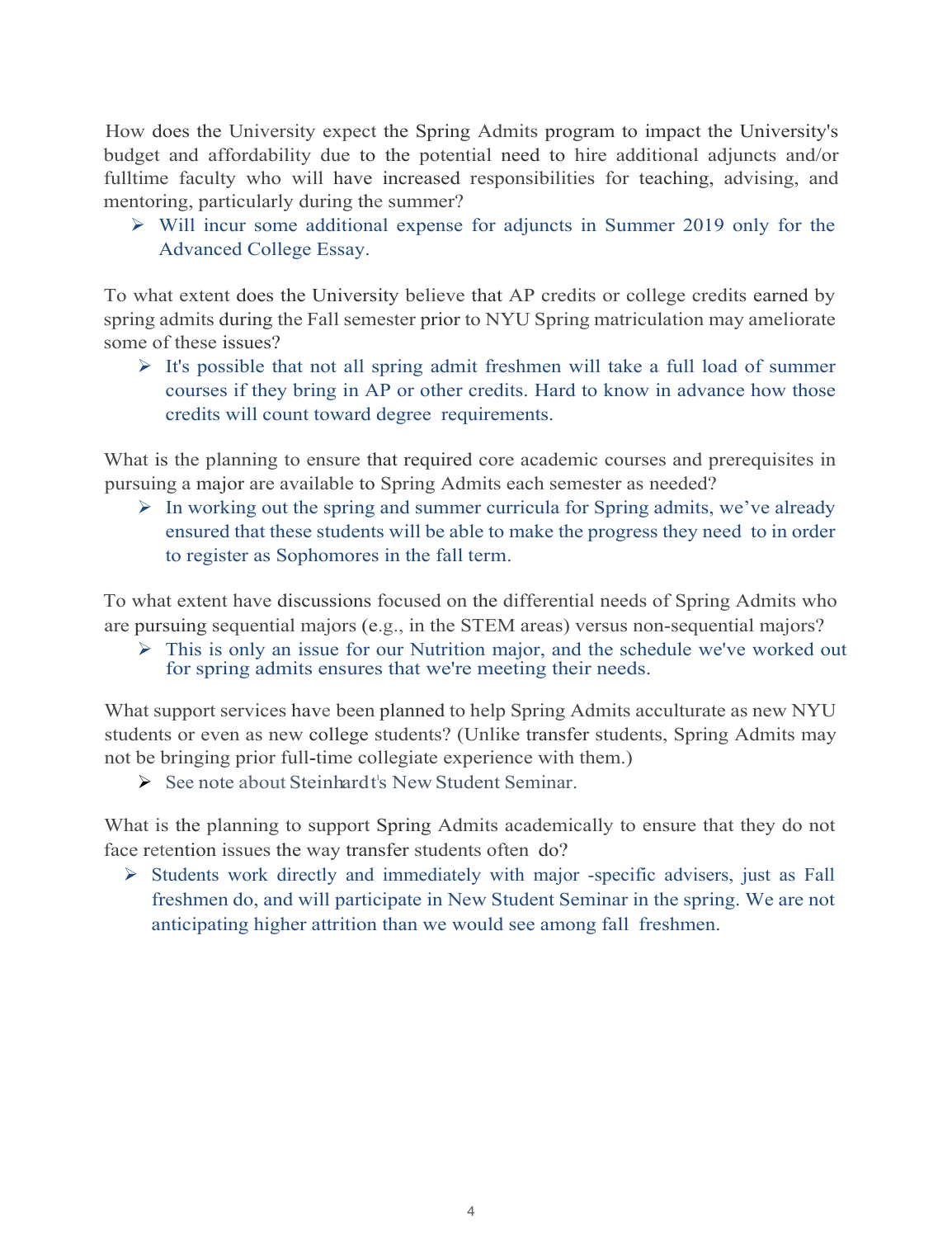How does the University expect the Spring Admits program to impact the University's budget and affordability due to the potential need to hire additional adjuncts and/or fulltime faculty who will have increased responsibilities for teaching, advising, and mentoring, particularly during the summer?

 $\triangleright$  Will incur some additional expense for adjuncts in Summer 2019 only for the Advanced College Essay.

To what extent does the University believe that AP credits or college credits earned by spring admits during the Fall semester prior to NYU Spring matriculation may ameliorate some of these issues?

 $\triangleright$  It's possible that not all spring admit freshmen will take a full load of summer courses if they bring in AP or other credits. Hard to know in advance how those credits will count toward degree requirements.

What is the planning to ensure that required core academic courses and prerequisites in pursuing a major are available to Spring Admits each semester as needed?

 $\triangleright$  In working out the spring and summer curricula for Spring admits, we've already ensured that these students will be able to make the progress they need to in order to register as Sophomores in the fall term.

To what extent have discussions focused on the differential needs of Spring Admits who are pursuing sequential majors (e.g., in the STEM areas) versus non-sequential majors?

 $\triangleright$  This is only an issue for our Nutrition major, and the schedule we've worked out for spring admits ensures that we're meeting their needs.

What support services have been planned to help Spring Admits acculturate as new NYU students or even as new college students? (Unlike transfer students, Spring Admits may not be bringing prior full-time collegiate experience with them.)

> See note about Steinhardt's New Student Seminar.

What is the planning to support Spring Admits academically to ensure that they do not face retention issues the way transfer students often do?

 $\triangleright$  Students work directly and immediately with major -specific advisers, just as Fall freshmen do, and will participate in New Student Seminar in the spring. We are not anticipating higher attrition than we would see among fall freshmen.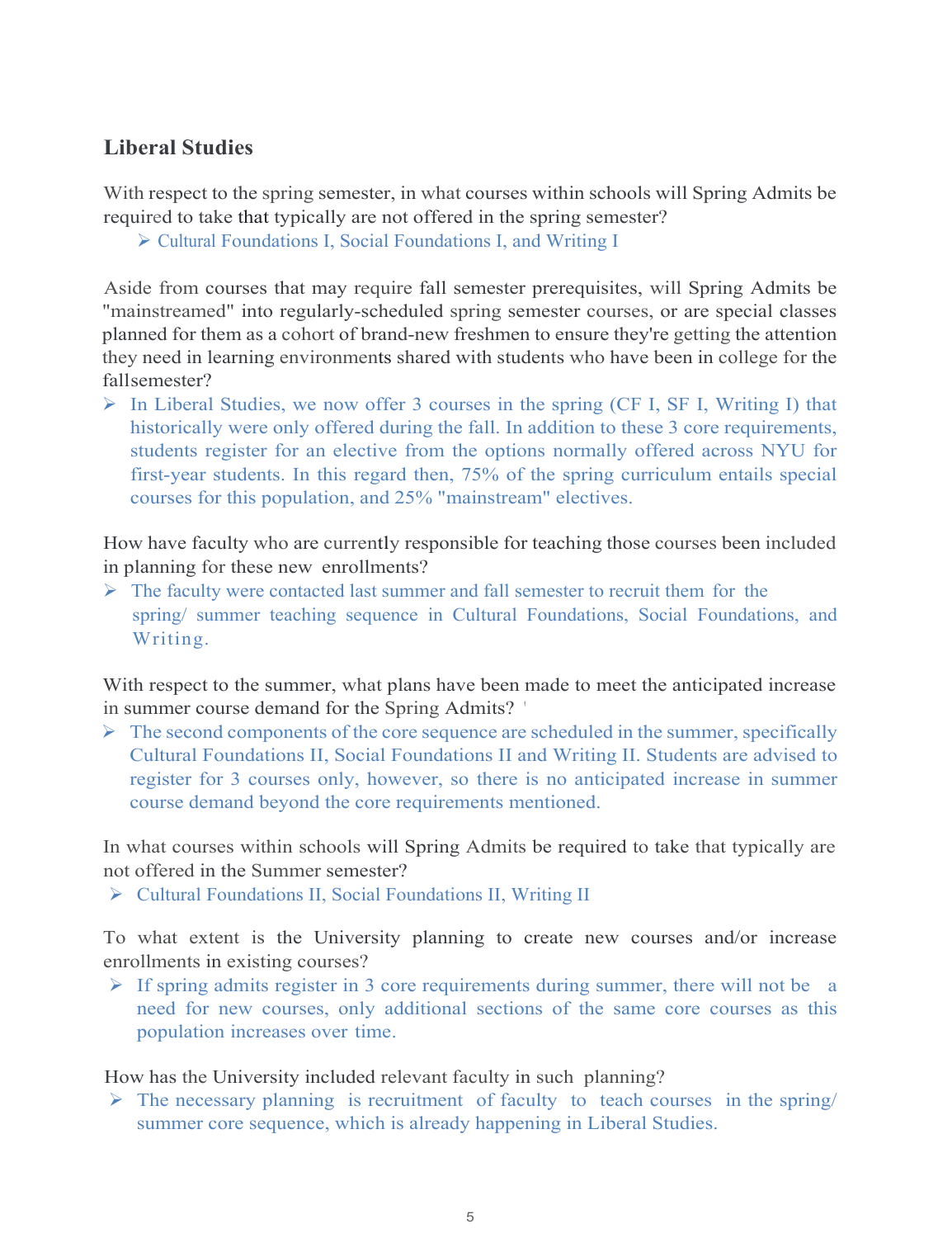## **Liberal Studies**

With respect to the spring semester, in what courses within schools will Spring Admits be required to take that typically are not offered in the spring semester?

Cultural Foundations I, Social Foundations I, and Writing I

Aside from courses that may require fall semester prerequisites, will Spring Admits be "mainstreamed" into regularly-scheduled spring semester courses, or are special classes planned for them as a cohort of brand-new freshmen to ensure they're getting the attention they need in learning environments shared with students who have been in college for the fallsemester?

 $\triangleright$  In Liberal Studies, we now offer 3 courses in the spring (CF I, SF I, Writing I) that historically were only offered during the fall. In addition to these 3 core requirements, students register for an elective from the options normally offered across NYU for first-year students. In this regard then, 75% of the spring curriculum entails special courses for this population, and 25% "mainstream" electives.

How have faculty who are currently responsible for teaching those courses been included in planning for these new enrollments?

 $\triangleright$  The faculty were contacted last summer and fall semester to recruit them for the spring/ summer teaching sequence in Cultural Foundations, Social Foundations, and Writing.

With respect to the summer, what plans have been made to meet the anticipated increase in summer course demand for the Spring Admits? '

 $\triangleright$  The second components of the core sequence are scheduled in the summer, specifically Cultural Foundations II, Social Foundations II and Writing II. Students are advised to register for 3 courses only, however, so there is no anticipated increase in summer course demand beyond the core requirements mentioned.

In what courses within schools will Spring Admits be required to take that typically are not offered in the Summer semester?

Cultural Foundations II, Social Foundations II, Writing II

To what extent is the University planning to create new courses and/or increase enrollments in existing courses?

If spring admits register in 3 core requirements during summer, there will not be a need for new courses, only additional sections of the same core courses as this population increases over time.

How has the University included relevant faculty in such planning?

 $\triangleright$  The necessary planning is recruitment of faculty to teach courses in the spring/ summer core sequence, which is already happening in Liberal Studies.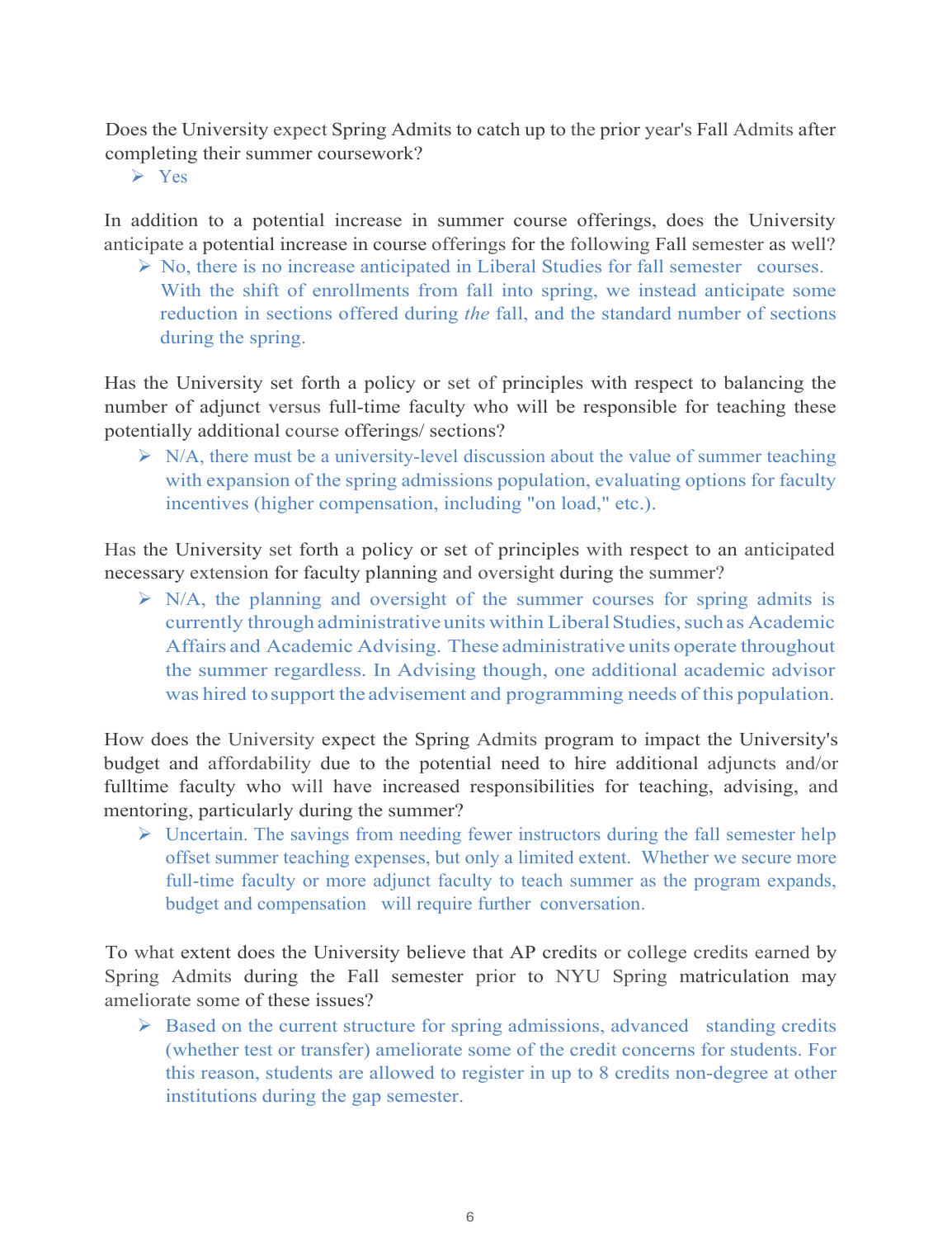Does the University expect Spring Admits to catch up to the prior year's Fall Admits after completing their summer coursework?

 $\triangleright$  Yes

In addition to a potential increase in summer course offerings, does the University anticipate a potential increase in course offerings for the following Fall semester as well?

 $\triangleright$  No, there is no increase anticipated in Liberal Studies for fall semester courses. With the shift of enrollments from fall into spring, we instead anticipate some reduction in sections offered during *the* fall, and the standard number of sections during the spring.

Has the University set forth a policy or set of principles with respect to balancing the number of adjunct versus full-time faculty who will be responsible for teaching these potentially additional course offerings/ sections?

 $\triangleright$  N/A, there must be a university-level discussion about the value of summer teaching with expansion of the spring admissions population, evaluating options for faculty incentives (higher compensation, including "on load," etc.).

Has the University set forth a policy or set of principles with respect to an anticipated necessary extension for faculty planning and oversight during the summer?

 $\triangleright$  N/A, the planning and oversight of the summer courses for spring admits is currently through administrative units within Liberal Studies, such as Academic Affairs and Academic Advising. These administrative units operate throughout the summer regardless. In Advising though, one additional academic advisor was hired tosupport the advisement and programming needs of this population.

How does the University expect the Spring Admits program to impact the University's budget and affordability due to the potential need to hire additional adjuncts and/or fulltime faculty who will have increased responsibilities for teaching, advising, and mentoring, particularly during the summer?

 $\triangleright$  Uncertain. The savings from needing fewer instructors during the fall semester help offset summer teaching expenses, but only a limited extent. Whether we secure more full-time faculty or more adjunct faculty to teach summer as the program expands, budget and compensation will require further conversation.

To what extent does the University believe that AP credits or college credits earned by Spring Admits during the Fall semester prior to NYU Spring matriculation may ameliorate some of these issues?

 $\triangleright$  Based on the current structure for spring admissions, advanced standing credits (whether test or transfer) ameliorate some of the credit concerns for students. For this reason, students are allowed to register in up to 8 credits non-degree at other institutions during the gap semester.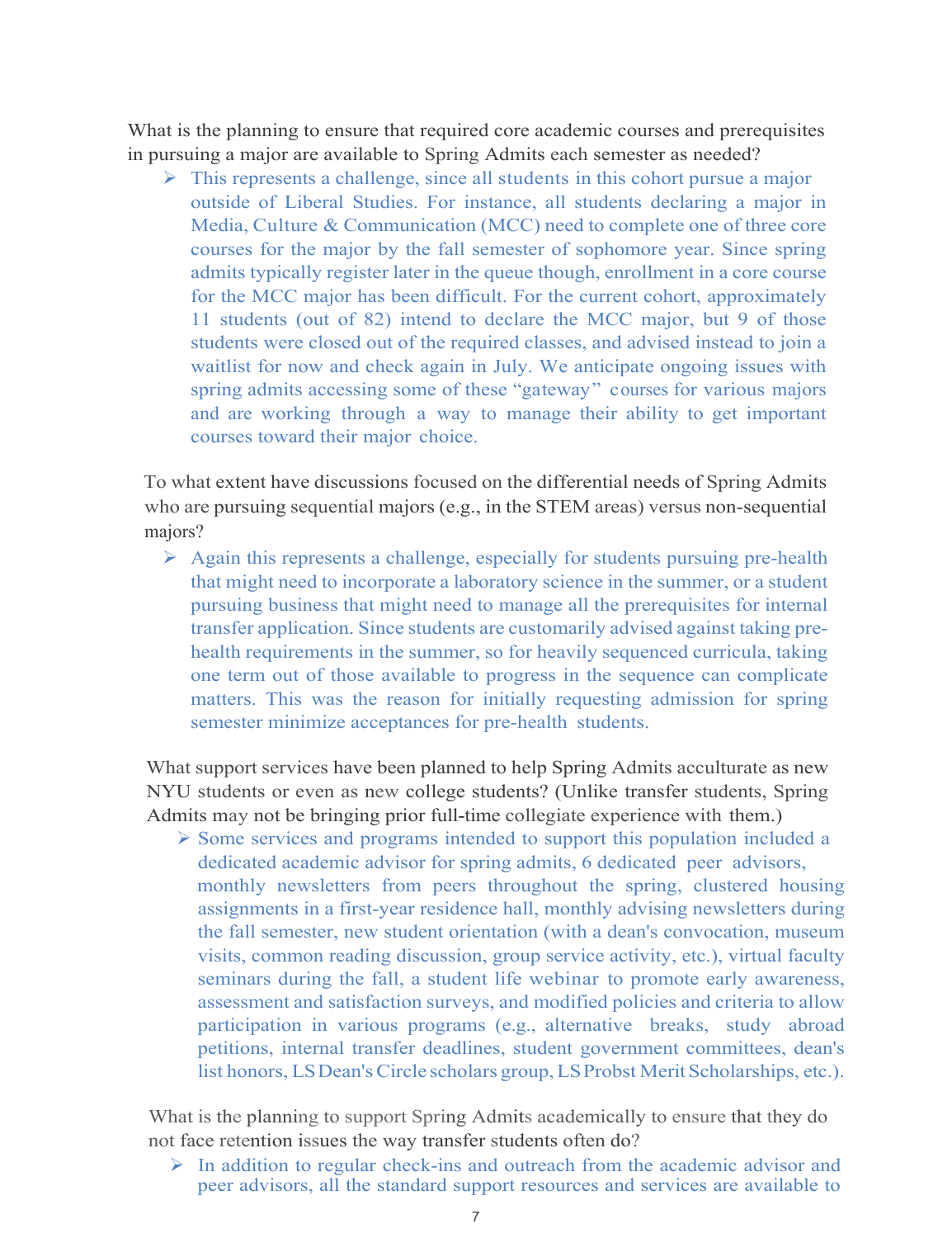What is the planning to ensure that required core academic courses and prerequisites in pursuing a major are available to Spring Admits each semester as needed?

 $\triangleright$  This represents a challenge, since all students in this cohort pursue a major outside of Liberal Studies. For instance, all students declaring a major in Media, Culture & Communication (MCC) need to complete one of three core courses for the major by the fall semester of sophomore year. Since spring admits typically register later in the queue though, enrollment in a core course for the MCC major has been difficult. For the current cohort, approximately 11 students (out of 82) intend to declare the MCC major, but 9 of those students were closed out of the required classes, and advised instead to join a waitlist for now and check again in July. We anticipate ongoing issues with spring admits accessing some of these "gateway" courses for various majors and are working through a way to manage their ability to get important courses toward their major choice.

To what extent have discussions focused on the differential needs of Spring Admits who are pursuing sequential majors (e.g., in the STEM areas) versus non-sequential majors?

 $\triangleright$  Again this represents a challenge, especially for students pursuing pre-health that might need to incorporate a laboratory science in the summer, or a student pursuing business that might need to manage all the prerequisites for internal transfer application. Since students are customarily advised against taking prehealth requirements in the summer, so for heavily sequenced curricula, taking one term out of those available to progress in the sequence can complicate matters. This was the reason for initially requesting admission for spring semester minimize acceptances for pre-health students.

What support services have been planned to help Spring Admits acculturate as new NYU students or even as new college students? (Unlike transfer students, Spring Admits may not be bringing prior full-time collegiate experience with them.)

 $\triangleright$  Some services and programs intended to support this population included a dedicated academic advisor for spring admits, 6 dedicated peer advisors, monthly newsletters from peers throughout the spring, clustered housing assignments in a first-year residence hall, monthly advising newsletters during the fall semester, new student orientation (with a dean's convocation, museum visits, common reading discussion, group service activity, etc.), virtual faculty seminars during the fall, a student life webinar to promote early awareness, assessment and satisfaction surveys, and modified policies and criteria to allow participation in various programs (e.g., alternative breaks, study abroad petitions, internal transfer deadlines, student government committees, dean's list honors, LSDean's Circle scholars group, LSProbst Merit Scholarships, etc.).

What is the planning to support Spring Admits academically to ensure that they do not face retention issues the way transfer students often do?

 $\triangleright$  In addition to regular check-ins and outreach from the academic advisor and peer advisors, all the standard support resources and services are available to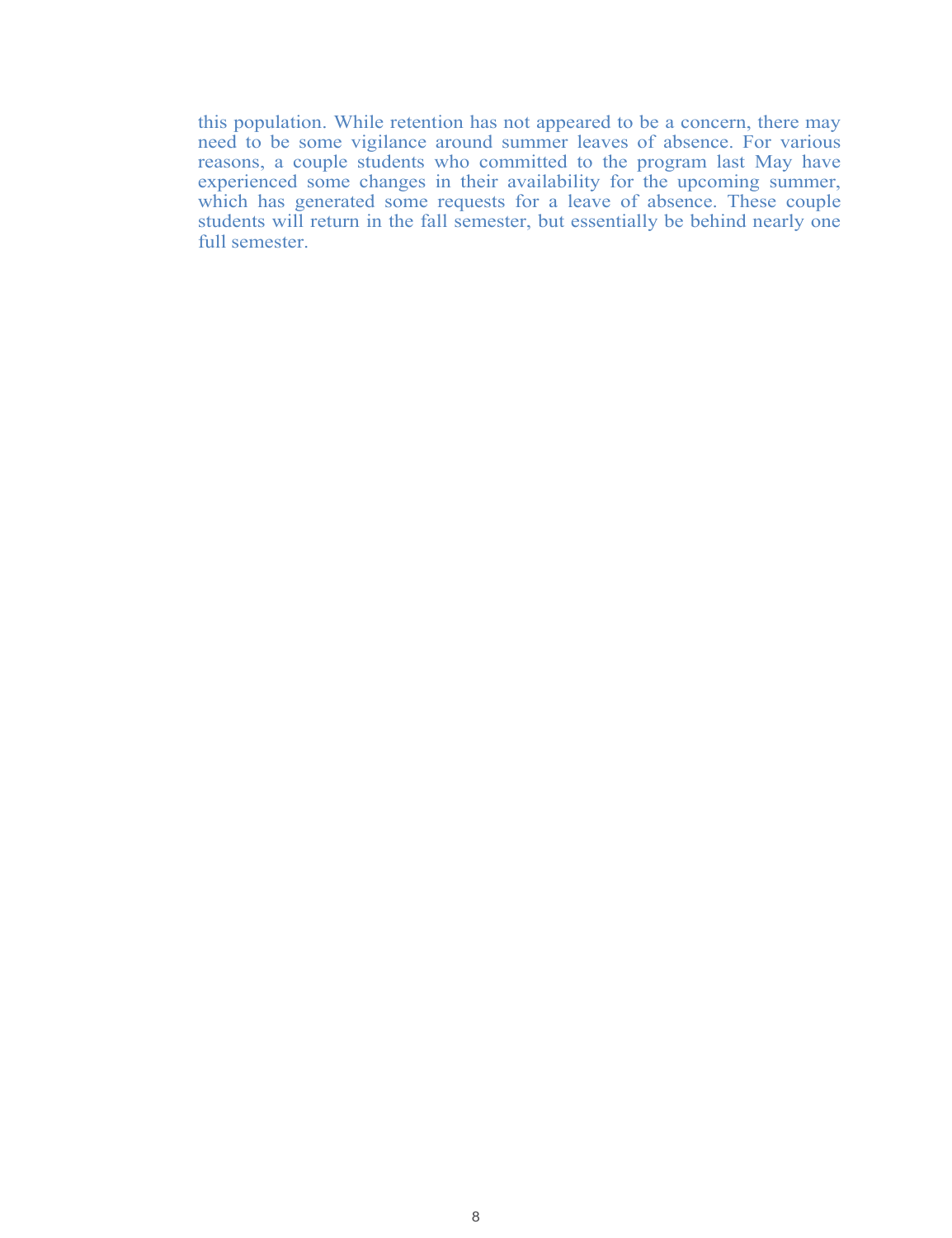this population. While retention has not appeared to be a concern, there may need to be some vigilance around summer leaves of absence. For various reasons, a couple students who committed to the program last May have experienced some changes in their availability for the upcoming summer, which has generated some requests for a leave of absence. These couple students will return in the fall semester, but essentially be behind nearly one full semester.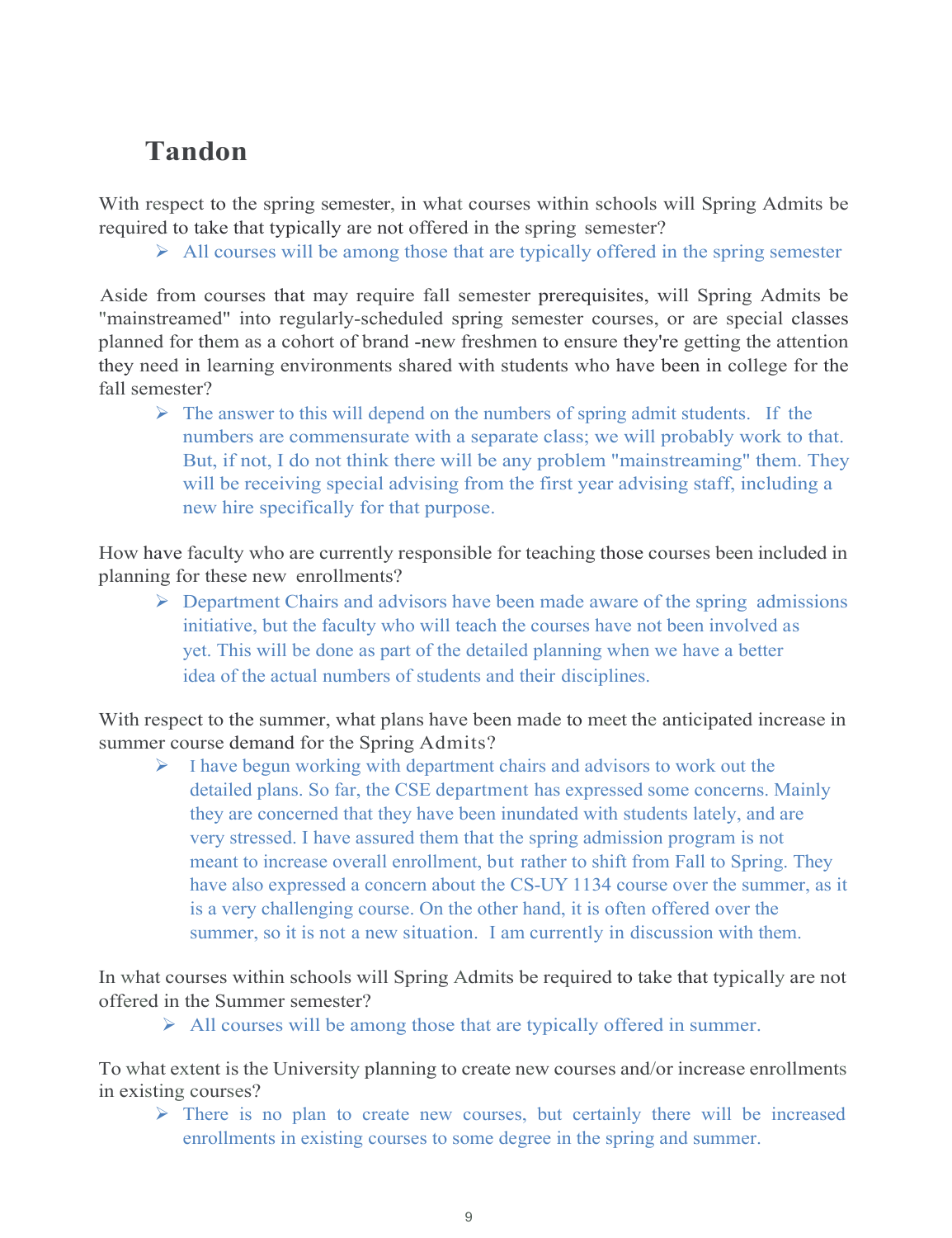## **Tandon**

With respect to the spring semester, in what courses within schools will Spring Admits be required to take that typically are not offered in the spring semester?

 $\triangleright$  All courses will be among those that are typically offered in the spring semester

Aside from courses that may require fall semester prerequisites, will Spring Admits be "mainstreamed" into regularly-scheduled spring semester courses, or are special classes planned for them as a cohort of brand -new freshmen to ensure they're getting the attention they need in learning environments shared with students who have been in college for the fall semester?

 $\triangleright$  The answer to this will depend on the numbers of spring admit students. If the numbers are commensurate with a separate class; we will probably work to that. But, if not, I do not think there will be any problem "mainstreaming" them. They will be receiving special advising from the first year advising staff, including a new hire specifically for that purpose.

How have faculty who are currently responsible for teaching those courses been included in planning for these new enrollments?

 $\triangleright$  Department Chairs and advisors have been made aware of the spring admissions initiative, but the faculty who will teach the courses have not been involved as yet. This will be done as part of the detailed planning when we have a better idea of the actual numbers of students and their disciplines.

With respect to the summer, what plans have been made to meet the anticipated increase in summer course demand for the Spring Admits?

 $\triangleright$  I have begun working with department chairs and advisors to work out the detailed plans. So far, the CSE department has expressed some concerns. Mainly they are concerned that they have been inundated with students lately, and are very stressed. I have assured them that the spring admission program is not meant to increase overall enrollment, but rather to shift from Fall to Spring. They have also expressed a concern about the CS-UY 1134 course over the summer, as it is a very challenging course. On the other hand, it is often offered over the summer, so it is not a new situation. I am currently in discussion with them.

In what courses within schools will Spring Admits be required to take that typically are not offered in the Summer semester?

 $\triangleright$  All courses will be among those that are typically offered in summer.

To what extent is the University planning to create new courses and/or increase enrollments in existing courses?

 $\triangleright$  There is no plan to create new courses, but certainly there will be increased enrollments in existing courses to some degree in the spring and summer.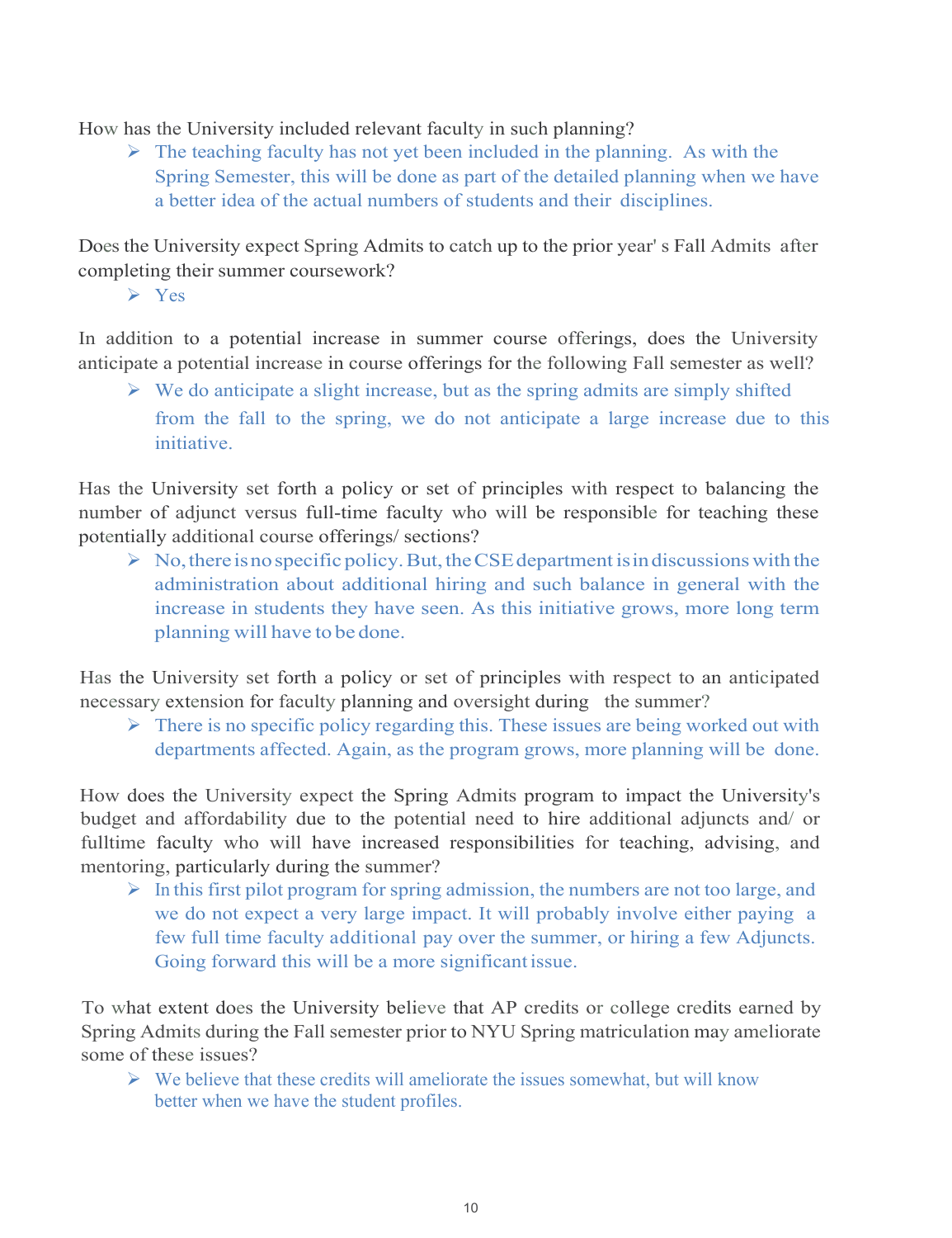How has the University included relevant faculty in such planning?

 $\triangleright$  The teaching faculty has not yet been included in the planning. As with the Spring Semester, this will be done as part of the detailed planning when we have a better idea of the actual numbers of students and their disciplines.

Does the University expect Spring Admits to catch up to the prior year' s Fall Admits after completing their summer coursework?

 $\triangleright$  Yes

In addition to a potential increase in summer course offerings, does the University anticipate a potential increase in course offerings for the following Fall semester as well?

 $\triangleright$  We do anticipate a slight increase, but as the spring admits are simply shifted from the fall to the spring, we do not anticipate a large increase due to this initiative.

Has the University set forth a policy or set of principles with respect to balancing the number of adjunct versus full-time faculty who will be responsible for teaching these potentially additional course offerings/ sections?

 $\triangleright$  No, there is no specific policy. But, the CSE department is in discussions with the administration about additional hiring and such balance in general with the increase in students they have seen. As this initiative grows, more long term planning will have to be done.

Has the University set forth a policy or set of principles with respect to an anticipated necessary extension for faculty planning and oversight during the summer?

 $\triangleright$  There is no specific policy regarding this. These issues are being worked out with departments affected. Again, as the program grows, more planning will be done.

How does the University expect the Spring Admits program to impact the University's budget and affordability due to the potential need to hire additional adjuncts and/ or fulltime faculty who will have increased responsibilities for teaching, advising, and mentoring, particularly during the summer?

 $\triangleright$  In this first pilot program for spring admission, the numbers are not too large, and we do not expect a very large impact. It will probably involve either paying a few full time faculty additional pay over the summer, or hiring a few Adjuncts. Going forward this will be a more significant issue.

To what extent does the University believe that AP credits or college credits earned by Spring Admits during the Fall semester prior to NYU Spring matriculation may ameliorate some of these issues?

 $\triangleright$  We believe that these credits will ameliorate the issues somewhat, but will know better when we have the student profiles.